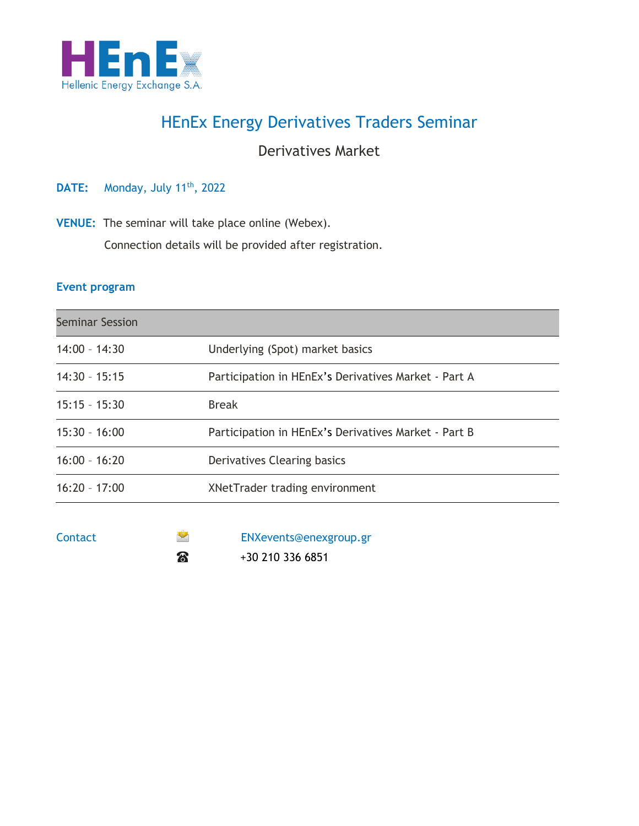

## HEnEx Energy Derivatives Traders Seminar

### Derivatives Market

**DATE:** Monday, July 11<sup>th</sup>, 2022

**VENUE:** The seminar will take place online (Webex).

Connection details will be provided after registration.

#### **Event program**

| <b>Seminar Session</b> |                                                      |  |
|------------------------|------------------------------------------------------|--|
| $14:00 - 14:30$        | Underlying (Spot) market basics                      |  |
| $14:30 - 15:15$        | Participation in HEnEx's Derivatives Market - Part A |  |
| $15:15 - 15:30$        | <b>Break</b>                                         |  |
| $15:30 - 16:00$        | Participation in HEnEx's Derivatives Market - Part B |  |
| $16:00 - 16:20$        | Derivatives Clearing basics                          |  |
| $16:20 - 17:00$        | XNetTrader trading environment                       |  |
|                        |                                                      |  |

| Contact | $\bullet$ | ENXevents@enexgroup.gr |
|---------|-----------|------------------------|
|         | සි        | +30 210 336 6851       |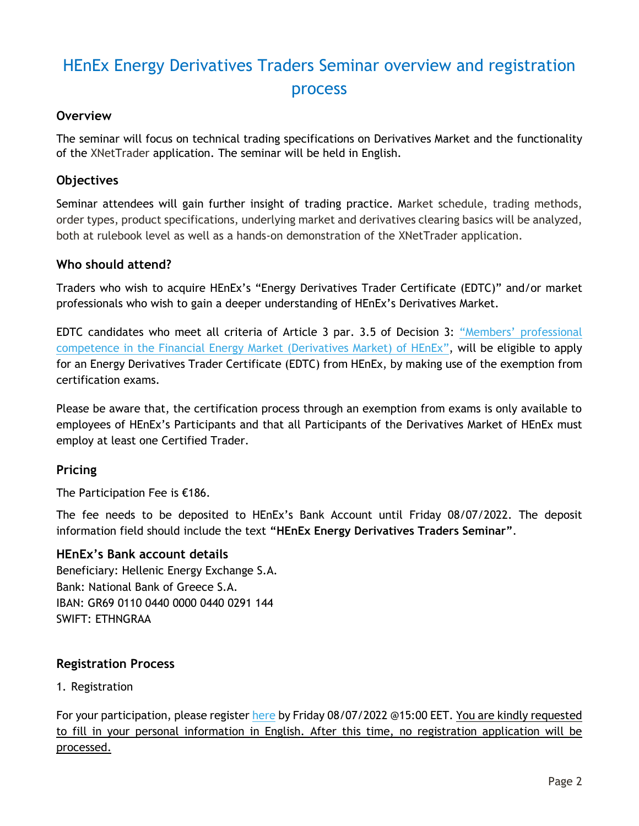# HEnEx Energy Derivatives Traders Seminar overview and registration process

#### **Overview**

The seminar will focus on technical trading specifications on Derivatives Market and the functionality of the XNetTrader application. The seminar will be held in English.

#### **Objectives**

Seminar attendees will gain further insight of trading practice. Market schedule, trading methods, order types, product specifications, underlying market and derivatives clearing basics will be analyzed, both at rulebook level as well as a hands-on demonstration of the XNetTrader application.

#### **Who should attend?**

Traders who wish to acquire HEnEx's "Energy Derivatives Trader Certificate (EDTC)" and/or market professionals who wish to gain a deeper understanding of HEnEx's Derivatives Market.

EDTC candidates who meet all criteria of Article 3 par. 3.5 of Decision 3: ["Members' professional](https://www.enexgroup.gr/documents/20126/184422/20200306_Decision_03_EN.pdf)  [competence in the Financial Energy Market \(Derivatives Market\) of HEnEx](https://www.enexgroup.gr/documents/20126/184422/20200306_Decision_03_EN.pdf)", will be eligible to apply for an Energy Derivatives Trader Certificate (EDTC) from HEnEx, by making use of the exemption from certification exams.

Please be aware that, the certification process through an exemption from exams is only available to employees of HEnEx's Participants and that all Participants of the Derivatives Market of HEnEx must employ at least one Certified Trader.

#### **Pricing**

The Participation Fee is €186.

The fee needs to be deposited to HEnEx's Bank Account until Friday 08/07/2022. The deposit information field should include the text **"HEnEx Energy Derivatives Traders Seminar"**.

#### **HEnEx's Bank account details**

Beneficiary: Hellenic Energy Exchange S.A. Bank: National Bank of Greece S.A. IBAN: GR69 0110 0440 0000 0440 0291 144 SWIFT: ETHNGRAA

#### **Registration Process**

1. Registration

For your participation, please register [here](https://www.enexgroup.gr/web/guest/edtc-seminar-registration-form) by Friday 08/07/2022 @15:00 EET. You are kindly requested to fill in your personal information in English. After this time, no registration application will be processed.